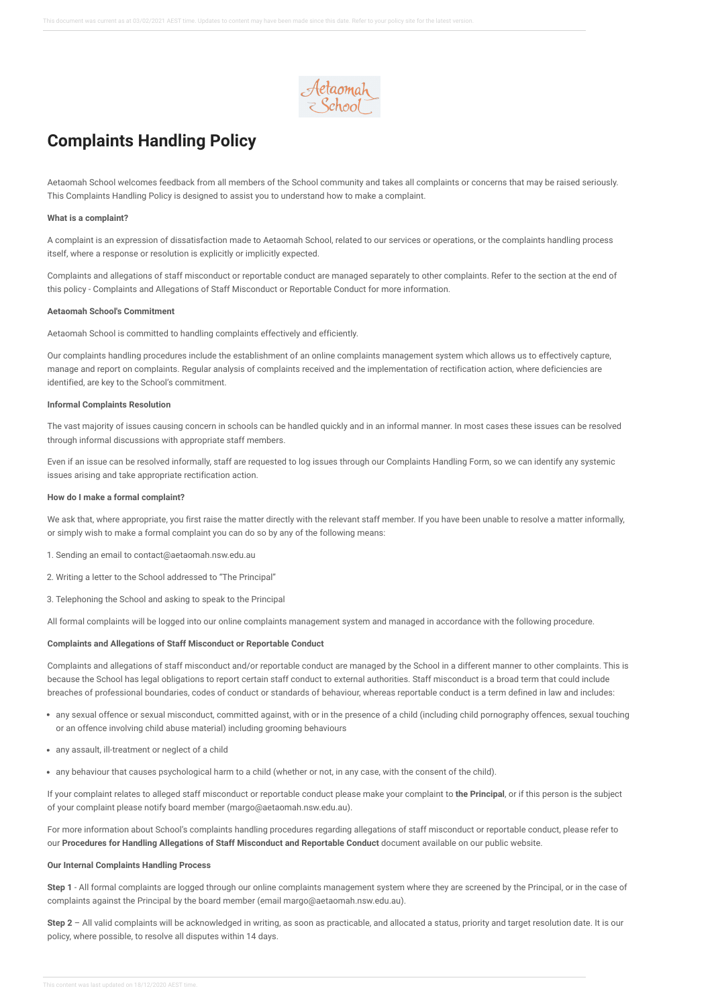

# **Complaints Handling Policy**

Aetaomah School welcomes feedback from all members of the School community and takes all complaints or concerns that may be raised seriously. This Complaints Handling Policy is designed to assist you to understand how to make a complaint.

### **What is a complaint?**

A complaint is an expression of dissatisfaction made to Aetaomah School, related to our services or operations, or the complaints handling process itself, where a response or resolution is explicitly or implicitly expected.

Complaints and allegations of staff misconduct or reportable conduct are managed separately to other complaints. Refer to the section at the end of this policy - Complaints and Allegations of Staff Misconduct or Reportable Conduct for more information.

### **Aetaomah School's Commitment**

Aetaomah School is committed to handling complaints effectively and efficiently.

Our complaints handling procedures include the establishment of an online complaints management system which allows us to effectively capture, manage and report on complaints. Regular analysis of complaints received and the implementation of rectification action, where deficiencies are identified, are key to the School's commitment.

# **Informal Complaints Resolution**

The vast majority of issues causing concern in schools can be handled quickly and in an informal manner. In most cases these issues can be resolved through informal discussions with appropriate staff members.

Even if an issue can be resolved informally, staff are requested to log issues through our Complaints Handling Form, so we can identify any systemic issues arising and take appropriate rectification action.

## **How do I make a formal complaint?**

We ask that, where appropriate, you first raise the matter directly with the relevant staff member. If you have been unable to resolve a matter informally, or simply wish to make a formal complaint you can do so by any of the following means:

- 1. Sending an email to contact@aetaomah.nsw.edu.au
- 2. Writing a letter to the School addressed to "The Principal"
- 3. Telephoning the School and asking to speak to the Principal

All formal complaints will be logged into our online complaints management system and managed in accordance with the following procedure.

#### **Complaints and Allegations of Staff Misconduct or Reportable Conduct**

Complaints and allegations of staff misconduct and/or reportable conduct are managed by the School in a different manner to other complaints. This is because the School has legal obligations to report certain staff conduct to external authorities. Staff misconduct is a broad term that could include breaches of professional boundaries, codes of conduct or standards of behaviour, whereas reportable conduct is a term defined in law and includes:

- any sexual offence or sexual misconduct, committed against, with or in the presence of a child (including child pornography offences, sexual touching or an offence involving child abuse material) including grooming behaviours
- any assault, ill-treatment or neglect of a child
- any behaviour that causes psychological harm to a child (whether or not, in any case, with the consent of the child).

If your complaint relates to alleged staff misconduct or reportable conduct please make your complaint to **the Principal**, or if this person is the subject of your complaint please notify board member (margo@aetaomah.nsw.edu.au).

For more information about School's complaints handling procedures regarding allegations of staff misconduct or reportable conduct, please refer to our **Procedures for Handling Allegations of Staff Misconduct and Reportable Conduct** document available on our public website.

#### **Our Internal Complaints Handling Process**

**Step 1** - All formal complaints are logged through our online complaints management system where they are screened by the Principal, or in the case of complaints against the Principal by the board member (email margo@aetaomah.nsw.edu.au).

**Step 2** – All valid complaints will be acknowledged in writing, as soon as practicable, and allocated a status, priority and target resolution date. It is our policy, where possible, to resolve all disputes within 14 days.